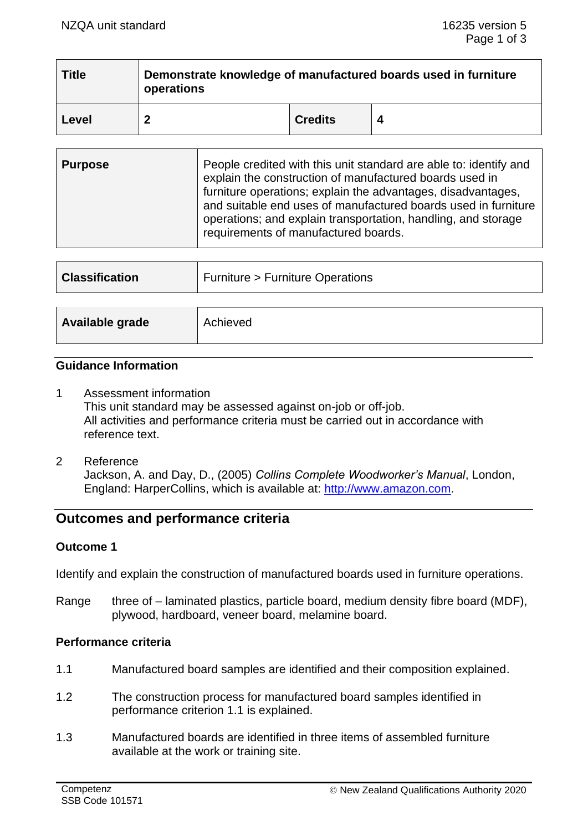| <b>Title</b> | Demonstrate knowledge of manufactured boards used in furniture<br>operations |                |  |
|--------------|------------------------------------------------------------------------------|----------------|--|
| Level        | ົ                                                                            | <b>Credits</b> |  |

| <b>Purpose</b> | People credited with this unit standard are able to: identify and<br>explain the construction of manufactured boards used in<br>furniture operations; explain the advantages, disadvantages,<br>and suitable end uses of manufactured boards used in furniture<br>operations; and explain transportation, handling, and storage<br>requirements of manufactured boards. |
|----------------|-------------------------------------------------------------------------------------------------------------------------------------------------------------------------------------------------------------------------------------------------------------------------------------------------------------------------------------------------------------------------|
|                |                                                                                                                                                                                                                                                                                                                                                                         |

| <b>Classification</b> | <b>Furniture &gt; Furniture Operations</b> |  |
|-----------------------|--------------------------------------------|--|
|                       |                                            |  |
| Available grade       | Achieved                                   |  |

## **Guidance Information**

- 1 Assessment information This unit standard may be assessed against on-job or off-job. All activities and performance criteria must be carried out in accordance with reference text.
- 2 Reference Jackson, A. and Day, D., (2005) *Collins Complete Woodworker's Manual*, London, England: HarperCollins, which is available at: [http://www.amazon.com.](http://www.amazon.com/)

# **Outcomes and performance criteria**

# **Outcome 1**

Identify and explain the construction of manufactured boards used in furniture operations.

Range three of – laminated plastics, particle board, medium density fibre board (MDF), plywood, hardboard, veneer board, melamine board.

#### **Performance criteria**

- 1.1 Manufactured board samples are identified and their composition explained.
- 1.2 The construction process for manufactured board samples identified in performance criterion 1.1 is explained.
- 1.3 Manufactured boards are identified in three items of assembled furniture available at the work or training site.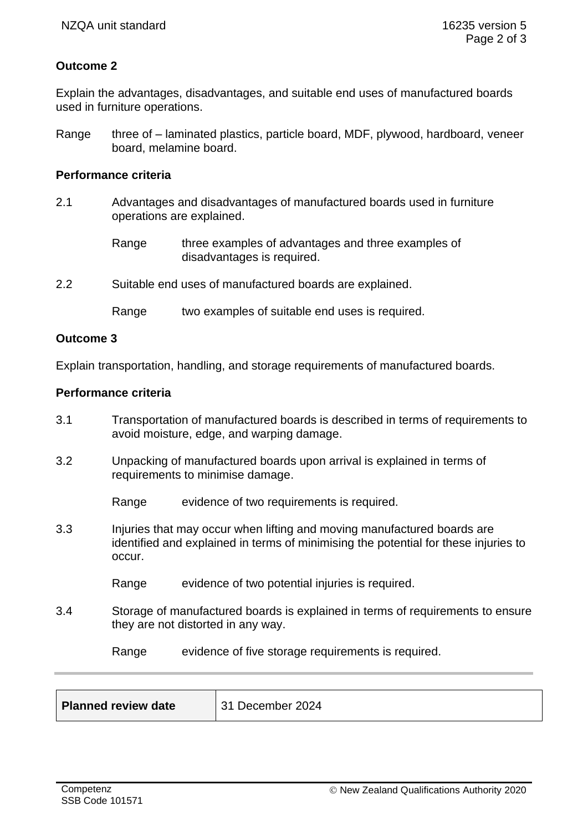# **Outcome 2**

Explain the advantages, disadvantages, and suitable end uses of manufactured boards used in furniture operations.

Range three of – laminated plastics, particle board, MDF, plywood, hardboard, veneer board, melamine board.

## **Performance criteria**

- 2.1 Advantages and disadvantages of manufactured boards used in furniture operations are explained.
	- Range three examples of advantages and three examples of disadvantages is required.
- 2.2 Suitable end uses of manufactured boards are explained.

Range two examples of suitable end uses is required.

#### **Outcome 3**

Explain transportation, handling, and storage requirements of manufactured boards.

#### **Performance criteria**

- 3.1 Transportation of manufactured boards is described in terms of requirements to avoid moisture, edge, and warping damage.
- 3.2 Unpacking of manufactured boards upon arrival is explained in terms of requirements to minimise damage.

Range evidence of two requirements is required.

- 3.3 Injuries that may occur when lifting and moving manufactured boards are identified and explained in terms of minimising the potential for these injuries to occur.
	- Range evidence of two potential injuries is required.
- 3.4 Storage of manufactured boards is explained in terms of requirements to ensure they are not distorted in any way.

Range evidence of five storage requirements is required.

| <b>Planned review date</b> | 31 December 2024 |
|----------------------------|------------------|
|                            |                  |